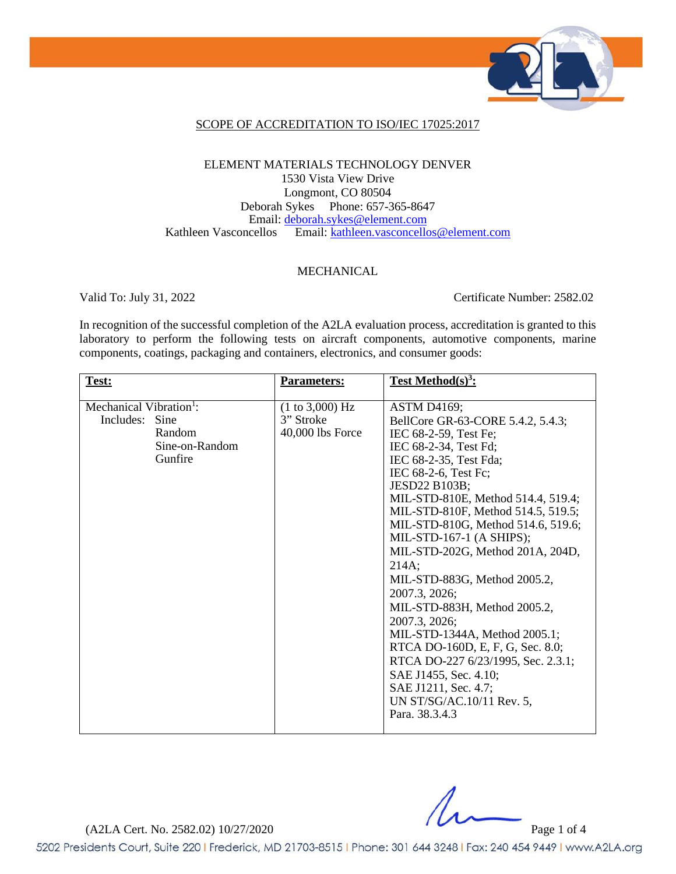

### SCOPE OF ACCREDITATION TO ISO/IEC 17025:2017

### ELEMENT MATERIALS TECHNOLOGY DENVER 1530 Vista View Drive Longmont, CO 80504 Deborah Sykes Phone: 657-365-8647 Email: [deborah.sykes@element.com](mailto:deborah.sykes@element.com) Kathleen Vasconcellos Email: [kathleen.vasconcellos@element.com](mailto:kathleen.vasconcellos@element.com)

#### MECHANICAL

Valid To: July 31, 2022 Certificate Number: 2582.02

In recognition of the successful completion of the A2LA evaluation process, accreditation is granted to this laboratory to perform the following tests on aircraft components, automotive components, marine components, coatings, packaging and containers, electronics, and consumer goods:

| Test:                               | <b>Parameters:</b> | Test Method $(s)^3$ :              |
|-------------------------------------|--------------------|------------------------------------|
|                                     |                    |                                    |
| Mechanical Vibration <sup>1</sup> : | (1 to 3,000) Hz    | <b>ASTM D4169;</b>                 |
| Sine<br>Includes:                   | 3" Stroke          | BellCore GR-63-CORE 5.4.2, 5.4.3;  |
| Random                              | 40,000 lbs Force   | IEC 68-2-59, Test Fe;              |
| Sine-on-Random                      |                    | IEC 68-2-34, Test Fd;              |
| Gunfire                             |                    | IEC 68-2-35, Test Fda;             |
|                                     |                    | IEC 68-2-6, Test Fc;               |
|                                     |                    | <b>JESD22 B103B;</b>               |
|                                     |                    | MIL-STD-810E, Method 514.4, 519.4; |
|                                     |                    | MIL-STD-810F, Method 514.5, 519.5; |
|                                     |                    | MIL-STD-810G, Method 514.6, 519.6; |
|                                     |                    | MIL-STD-167-1 (A SHIPS);           |
|                                     |                    | MIL-STD-202G, Method 201A, 204D,   |
|                                     |                    | 214A;                              |
|                                     |                    | MIL-STD-883G, Method 2005.2,       |
|                                     |                    | 2007.3, 2026;                      |
|                                     |                    | MIL-STD-883H, Method 2005.2,       |
|                                     |                    |                                    |
|                                     |                    | 2007.3, 2026;                      |
|                                     |                    | MIL-STD-1344A, Method 2005.1;      |
|                                     |                    | RTCA DO-160D, E, F, G, Sec. 8.0;   |
|                                     |                    | RTCA DO-227 6/23/1995, Sec. 2.3.1; |
|                                     |                    | SAE J1455, Sec. 4.10;              |
|                                     |                    | SAE J1211, Sec. 4.7;               |
|                                     |                    | UN ST/SG/AC.10/11 Rev. 5,          |
|                                     |                    | Para, 38.3.4.3                     |
|                                     |                    |                                    |

(A2LA Cert. No. 2582.02) 10/27/2020 Page 1 of 4

5202 Presidents Court, Suite 220 | Frederick, MD 21703-8515 | Phone: 301 644 3248 | Fax: 240 454 9449 | www.A2LA.org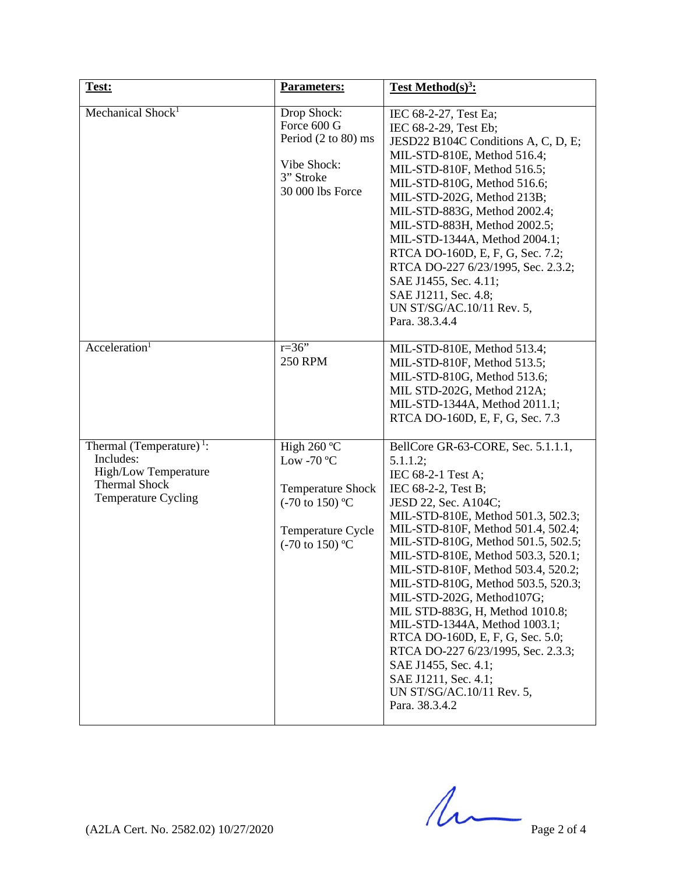| Test:                                                                                                                           | <b>Parameters:</b>                                                                                                                              | Test Method $(s)^3$ :                                                                                                                                                                                                                                                                                                                                                                                                                                                                                                                                                                                                             |
|---------------------------------------------------------------------------------------------------------------------------------|-------------------------------------------------------------------------------------------------------------------------------------------------|-----------------------------------------------------------------------------------------------------------------------------------------------------------------------------------------------------------------------------------------------------------------------------------------------------------------------------------------------------------------------------------------------------------------------------------------------------------------------------------------------------------------------------------------------------------------------------------------------------------------------------------|
| Mechanical Shock <sup>1</sup>                                                                                                   | Drop Shock:<br>Force 600 G<br>Period (2 to 80) ms<br>Vibe Shock:<br>3" Stroke<br>30 000 lbs Force                                               | IEC 68-2-27, Test Ea;<br>IEC 68-2-29, Test Eb;<br>JESD22 B104C Conditions A, C, D, E;<br>MIL-STD-810E, Method 516.4;<br>MIL-STD-810F, Method 516.5;<br>MIL-STD-810G, Method 516.6;<br>MIL-STD-202G, Method 213B;<br>MIL-STD-883G, Method 2002.4;<br>MIL-STD-883H, Method 2002.5;<br>MIL-STD-1344A, Method 2004.1;<br>RTCA DO-160D, E, F, G, Sec. 7.2;<br>RTCA DO-227 6/23/1995, Sec. 2.3.2;<br>SAE J1455, Sec. 4.11;<br>SAE J1211, Sec. 4.8;<br>UN ST/SG/AC.10/11 Rev. 5,<br>Para. 38.3.4.4                                                                                                                                       |
| Acceleration <sup>1</sup>                                                                                                       | $r = 36$ "<br><b>250 RPM</b>                                                                                                                    | MIL-STD-810E, Method 513.4;<br>MIL-STD-810F, Method 513.5;<br>MIL-STD-810G, Method 513.6;<br>MIL STD-202G, Method 212A;<br>MIL-STD-1344A, Method 2011.1;<br>RTCA DO-160D, E, F, G, Sec. 7.3                                                                                                                                                                                                                                                                                                                                                                                                                                       |
| Thermal (Temperature) <sup>1</sup> :<br>Includes:<br>High/Low Temperature<br><b>Thermal Shock</b><br><b>Temperature Cycling</b> | High 260 °C<br>Low -70 $\rm ^{o}C$<br><b>Temperature Shock</b><br>$(-70 \text{ to } 150)$ °C<br>Temperature Cycle<br>$(-70 \text{ to } 150)$ °C | BellCore GR-63-CORE, Sec. 5.1.1.1,<br>5.1.1.2;<br>IEC 68-2-1 Test A;<br>IEC 68-2-2, Test B;<br>JESD 22, Sec. A104C;<br>MIL-STD-810E, Method 501.3, 502.3;<br>MIL-STD-810F, Method 501.4, 502.4;<br>MIL-STD-810G, Method 501.5, 502.5;<br>MIL-STD-810E, Method 503.3, 520.1;<br>MIL-STD-810F, Method 503.4, 520.2;<br>MIL-STD-810G, Method 503.5, 520.3;<br>MIL-STD-202G, Method107G;<br>MIL STD-883G, H, Method 1010.8;<br>MIL-STD-1344A, Method 1003.1;<br>RTCA DO-160D, E, F, G, Sec. 5.0;<br>RTCA DO-227 6/23/1995, Sec. 2.3.3;<br>SAE J1455, Sec. 4.1;<br>SAE J1211, Sec. 4.1;<br>UN ST/SG/AC.10/11 Rev. 5,<br>Para. 38.3.4.2 |

 $(A2LA$  Cert. No. 2582.02) 10/27/2020 Page 2 of 4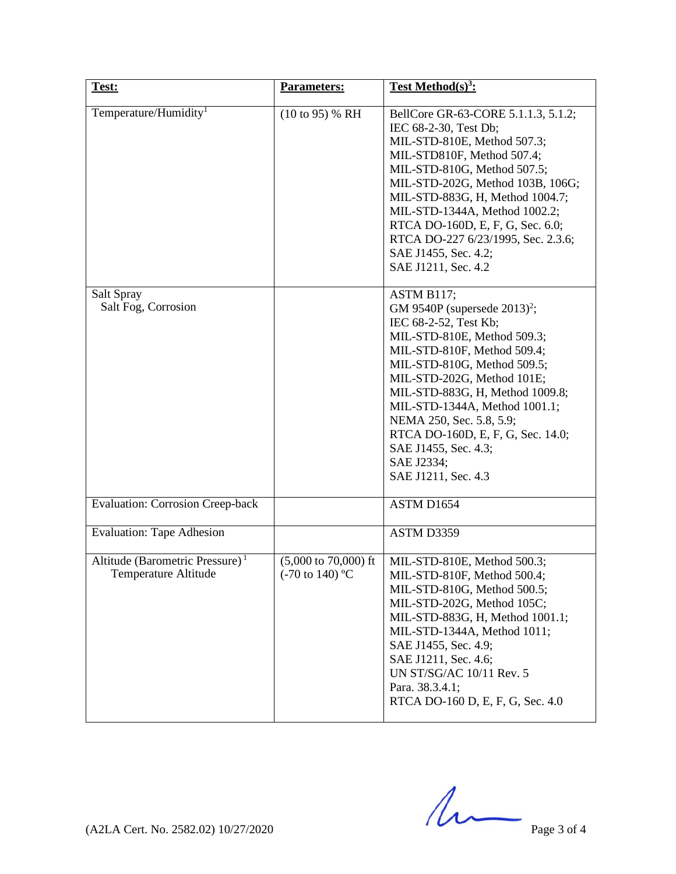| Test:                                                               | <b>Parameters:</b>                                                    | <b>Test Method</b> $(s)^3$ :                                                                                                                                                                                                                                                                                                                                                                                 |
|---------------------------------------------------------------------|-----------------------------------------------------------------------|--------------------------------------------------------------------------------------------------------------------------------------------------------------------------------------------------------------------------------------------------------------------------------------------------------------------------------------------------------------------------------------------------------------|
| Temperature/Humidity <sup>1</sup>                                   | $(10 \text{ to } 95)$ % RH                                            | BellCore GR-63-CORE 5.1.1.3, 5.1.2;<br>IEC 68-2-30, Test Db;<br>MIL-STD-810E, Method 507.3;<br>MIL-STD810F, Method 507.4;<br>MIL-STD-810G, Method 507.5;<br>MIL-STD-202G, Method 103B, 106G;<br>MIL-STD-883G, H, Method 1004.7;<br>MIL-STD-1344A, Method 1002.2;<br>RTCA DO-160D, E, F, G, Sec. 6.0;<br>RTCA DO-227 6/23/1995, Sec. 2.3.6;<br>SAE J1455, Sec. 4.2;<br>SAE J1211, Sec. 4.2                    |
| Salt Spray<br>Salt Fog, Corrosion                                   |                                                                       | ASTM B117;<br>GM 9540P (supersede 2013) <sup>2</sup> ;<br>IEC 68-2-52, Test Kb;<br>MIL-STD-810E, Method 509.3;<br>MIL-STD-810F, Method 509.4;<br>MIL-STD-810G, Method 509.5;<br>MIL-STD-202G, Method 101E;<br>MIL-STD-883G, H, Method 1009.8;<br>MIL-STD-1344A, Method 1001.1;<br>NEMA 250, Sec. 5.8, 5.9;<br>RTCA DO-160D, E, F, G, Sec. 14.0;<br>SAE J1455, Sec. 4.3;<br>SAE J2334;<br>SAE J1211, Sec. 4.3 |
| <b>Evaluation: Corrosion Creep-back</b>                             |                                                                       | ASTM D1654                                                                                                                                                                                                                                                                                                                                                                                                   |
| <b>Evaluation: Tape Adhesion</b>                                    |                                                                       | ASTM D3359                                                                                                                                                                                                                                                                                                                                                                                                   |
| Altitude (Barometric Pressure) <sup>1</sup><br>Temperature Altitude | $(5,000 \text{ to } 70,000) \text{ ft}$<br>$(-70 \text{ to } 140)$ °C | MIL-STD-810E, Method 500.3;<br>MIL-STD-810F, Method 500.4;<br>MIL-STD-810G, Method 500.5;<br>MIL-STD-202G, Method 105C;<br>MIL-STD-883G, H, Method 1001.1;<br>MIL-STD-1344A, Method 1011;<br>SAE J1455, Sec. 4.9;<br>SAE J1211, Sec. 4.6;<br>UN ST/SG/AC 10/11 Rev. 5<br>Para. 38.3.4.1;<br>RTCA DO-160 D, E, F, G, Sec. 4.0                                                                                 |

 $(A2LA$  Cert. No. 2582.02) 10/27/2020 Page 3 of 4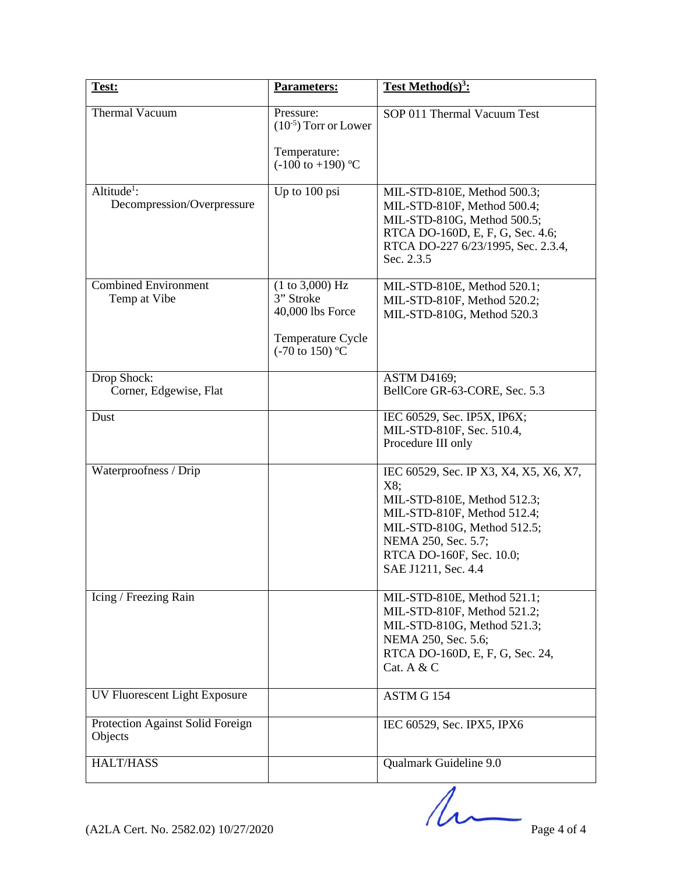| Test:                                                 | Parameters:                                                                                         | Test Method(s) <sup>3</sup> :                                                                                                                                                                                        |
|-------------------------------------------------------|-----------------------------------------------------------------------------------------------------|----------------------------------------------------------------------------------------------------------------------------------------------------------------------------------------------------------------------|
| <b>Thermal Vacuum</b>                                 | Pressure:<br>$(10^{-5})$ Torr or Lower<br>Temperature:<br>$(-100 \text{ to } +190)$ °C              | SOP 011 Thermal Vacuum Test                                                                                                                                                                                          |
| Altitude <sup>1</sup> :<br>Decompression/Overpressure | Up to 100 psi                                                                                       | MIL-STD-810E, Method 500.3;<br>MIL-STD-810F, Method 500.4;<br>MIL-STD-810G, Method 500.5;<br>RTCA DO-160D, E, F, G, Sec. 4.6;<br>RTCA DO-227 6/23/1995, Sec. 2.3.4,<br>Sec. 2.3.5                                    |
| <b>Combined Environment</b><br>Temp at Vibe           | (1 to 3,000) Hz<br>3" Stroke<br>40,000 lbs Force<br>Temperature Cycle<br>$(-70 \text{ to } 150)$ °C | MIL-STD-810E, Method 520.1;<br>MIL-STD-810F, Method 520.2;<br>MIL-STD-810G, Method 520.3                                                                                                                             |
| Drop Shock:<br>Corner, Edgewise, Flat                 |                                                                                                     | <b>ASTM D4169;</b><br>BellCore GR-63-CORE, Sec. 5.3                                                                                                                                                                  |
| Dust                                                  |                                                                                                     | IEC 60529, Sec. IP5X, IP6X;<br>MIL-STD-810F, Sec. 510.4,<br>Procedure III only                                                                                                                                       |
| Waterproofness / Drip                                 |                                                                                                     | IEC 60529, Sec. IP X3, X4, X5, X6, X7,<br>X8;<br>MIL-STD-810E, Method 512.3;<br>MIL-STD-810F, Method 512.4;<br>MIL-STD-810G, Method 512.5;<br>NEMA 250, Sec. 5.7;<br>RTCA DO-160F, Sec. 10.0;<br>SAE J1211, Sec. 4.4 |
| Icing / Freezing Rain                                 |                                                                                                     | MIL-STD-810E, Method 521.1;<br>MIL-STD-810F, Method 521.2;<br>MIL-STD-810G, Method 521.3;<br>NEMA 250, Sec. 5.6;<br>RTCA DO-160D, E, F, G, Sec. 24,<br>Cat. A $&$ C                                                  |
| UV Fluorescent Light Exposure                         |                                                                                                     | ASTM G 154                                                                                                                                                                                                           |
| Protection Against Solid Foreign<br>Objects           |                                                                                                     | IEC 60529, Sec. IPX5, IPX6                                                                                                                                                                                           |
| <b>HALT/HASS</b>                                      |                                                                                                     | Qualmark Guideline 9.0                                                                                                                                                                                               |

 $(122A$  Cert. No. 2582.02) 10/27/2020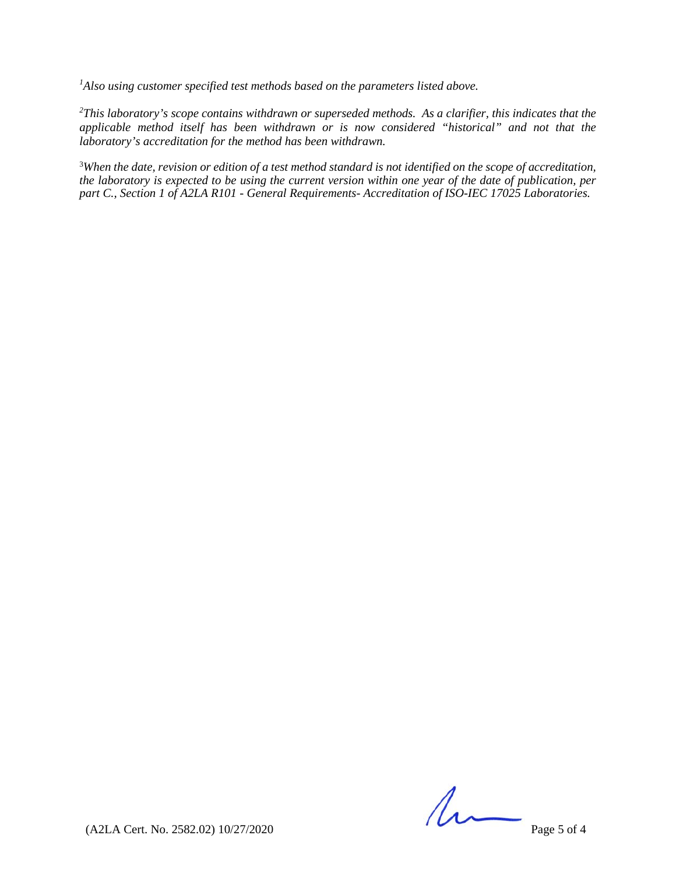*1 Also using customer specified test methods based on the parameters listed above.*

*2 This laboratory's scope contains withdrawn or superseded methods. As a clarifier, this indicates that the applicable method itself has been withdrawn or is now considered "historical" and not that the laboratory's accreditation for the method has been withdrawn.* 

<sup>3</sup>When the date, revision or edition of a test method standard is not identified on the scope of accreditation, *the laboratory is expected to be using the current version within one year of the date of publication, per part C., Section 1 of A2LA R101 - General Requirements- Accreditation of ISO-IEC 17025 Laboratories.*

 $(222A$  Cert. No. 2582.02) 10/27/2020